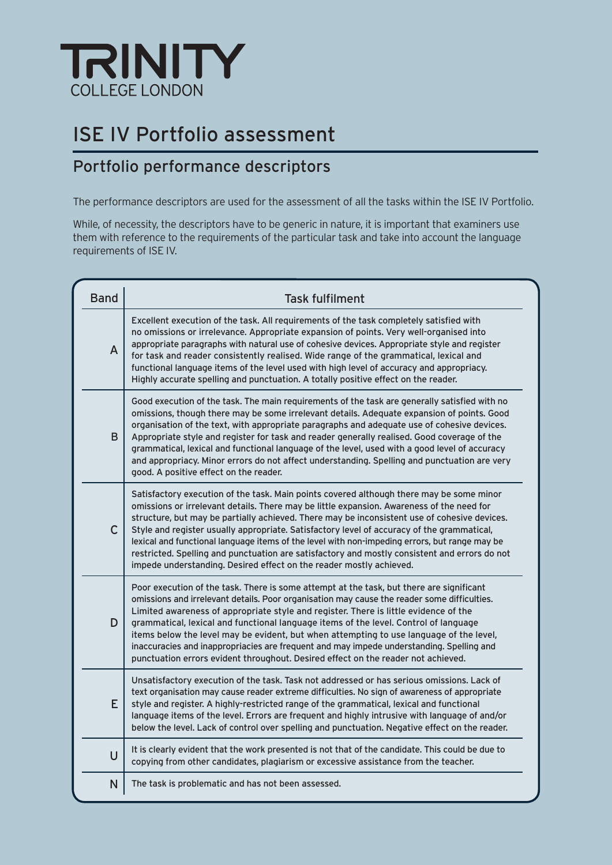

# ISE IV Portfolio assessment

### Portfolio performance descriptors

The performance descriptors are used for the assessment of all the tasks within the ISE IV Portfolio.

While, of necessity, the descriptors have to be generic in nature, it is important that examiners use them with reference to the requirements of the particular task and take into account the language requirements of ISE IV.

| <b>Band</b>    | <b>Task fulfilment</b>                                                                                                                                                                                                                                                                                                                                                                                                                                                                                                                                                                                                                                       |
|----------------|--------------------------------------------------------------------------------------------------------------------------------------------------------------------------------------------------------------------------------------------------------------------------------------------------------------------------------------------------------------------------------------------------------------------------------------------------------------------------------------------------------------------------------------------------------------------------------------------------------------------------------------------------------------|
| $\overline{A}$ | Excellent execution of the task. All requirements of the task completely satisfied with<br>no omissions or irrelevance. Appropriate expansion of points. Very well-organised into<br>appropriate paragraphs with natural use of cohesive devices. Appropriate style and register<br>for task and reader consistently realised. Wide range of the grammatical, lexical and<br>functional language items of the level used with high level of accuracy and appropriacy.<br>Highly accurate spelling and punctuation. A totally positive effect on the reader.                                                                                                  |
| B              | Good execution of the task. The main requirements of the task are generally satisfied with no<br>omissions, though there may be some irrelevant details. Adequate expansion of points. Good<br>organisation of the text, with appropriate paragraphs and adequate use of cohesive devices.<br>Appropriate style and register for task and reader generally realised. Good coverage of the<br>grammatical, lexical and functional language of the level, used with a good level of accuracy<br>and appropriacy. Minor errors do not affect understanding. Spelling and punctuation are very<br>good. A positive effect on the reader.                         |
| $\mathsf{C}$   | Satisfactory execution of the task. Main points covered although there may be some minor<br>omissions or irrelevant details. There may be little expansion. Awareness of the need for<br>structure, but may be partially achieved. There may be inconsistent use of cohesive devices.<br>Style and register usually appropriate. Satisfactory level of accuracy of the grammatical,<br>lexical and functional language items of the level with non-impeding errors, but range may be<br>restricted. Spelling and punctuation are satisfactory and mostly consistent and errors do not<br>impede understanding. Desired effect on the reader mostly achieved. |
| D              | Poor execution of the task. There is some attempt at the task, but there are significant<br>omissions and irrelevant details. Poor organisation may cause the reader some difficulties.<br>Limited awareness of appropriate style and register. There is little evidence of the<br>grammatical, lexical and functional language items of the level. Control of language<br>items below the level may be evident, but when attempting to use language of the level,<br>inaccuracies and inappropriacies are frequent and may impede understanding. Spelling and<br>punctuation errors evident throughout. Desired effect on the reader not achieved.          |
| F              | Unsatisfactory execution of the task. Task not addressed or has serious omissions. Lack of<br>text organisation may cause reader extreme difficulties. No sign of awareness of appropriate<br>style and register. A highly-restricted range of the grammatical, lexical and functional<br>language items of the level. Errors are frequent and highly intrusive with language of and/or<br>below the level. Lack of control over spelling and punctuation. Negative effect on the reader.                                                                                                                                                                    |
| $\cup$         | It is clearly evident that the work presented is not that of the candidate. This could be due to<br>copying from other candidates, plagiarism or excessive assistance from the teacher.                                                                                                                                                                                                                                                                                                                                                                                                                                                                      |
| N              | The task is problematic and has not been assessed.                                                                                                                                                                                                                                                                                                                                                                                                                                                                                                                                                                                                           |